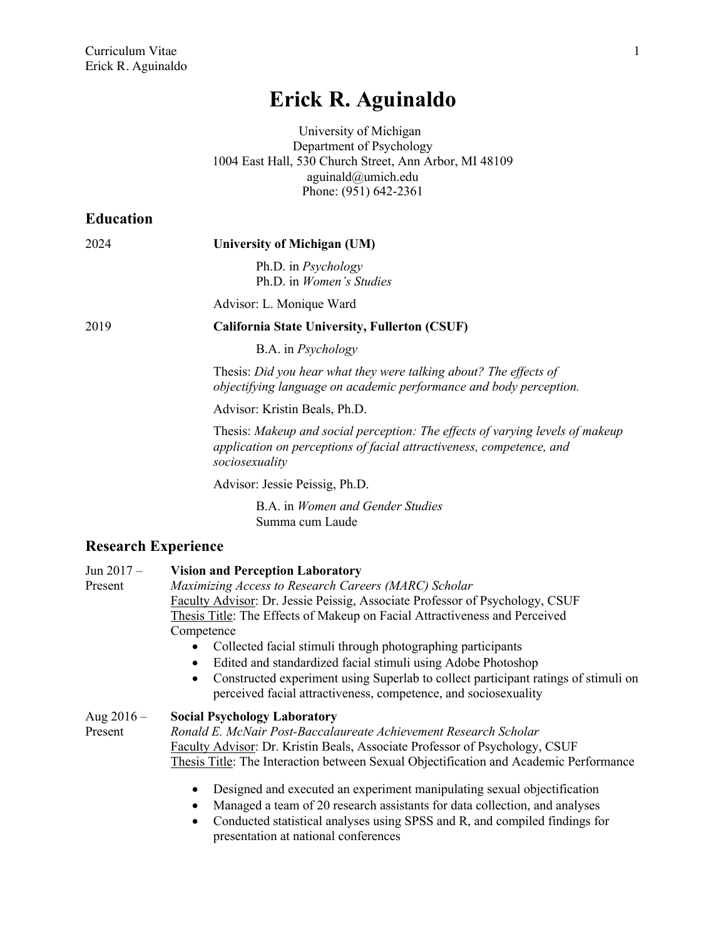# **Erick R. Aguinaldo**

University of Michigan Department of Psychology 1004 East Hall, 530 Church Street, Ann Arbor, MI 48109 aguinald@umich.edu Phone: (951) 642-2361

| <b>Education</b>           |                                                                                                                                                                         |
|----------------------------|-------------------------------------------------------------------------------------------------------------------------------------------------------------------------|
| 2024                       | University of Michigan (UM)                                                                                                                                             |
|                            | Ph.D. in <i>Psychology</i><br>Ph.D. in Women's Studies                                                                                                                  |
|                            | Advisor: L. Monique Ward                                                                                                                                                |
| 2019                       | California State University, Fullerton (CSUF)                                                                                                                           |
|                            | B.A. in <i>Psychology</i>                                                                                                                                               |
|                            | Thesis: Did you hear what they were talking about? The effects of<br>objectifying language on academic performance and body perception.                                 |
|                            | Advisor: Kristin Beals, Ph.D.                                                                                                                                           |
|                            | Thesis: Makeup and social perception: The effects of varying levels of makeup<br>application on perceptions of facial attractiveness, competence, and<br>sociosexuality |
|                            | Advisor: Jessie Peissig, Ph.D.                                                                                                                                          |
|                            | B.A. in <i>Women and Gender Studies</i><br>Summa cum Laude                                                                                                              |
| <b>Research Experience</b> |                                                                                                                                                                         |

| Jun $2017 -$ | <b>Vision and Perception Laboratory</b>                                                                                                               |
|--------------|-------------------------------------------------------------------------------------------------------------------------------------------------------|
| Present      | Maximizing Access to Research Careers (MARC) Scholar                                                                                                  |
|              | Faculty Advisor: Dr. Jessie Peissig, Associate Professor of Psychology, CSUF                                                                          |
|              | Thesis Title: The Effects of Makeup on Facial Attractiveness and Perceived                                                                            |
|              | Competence                                                                                                                                            |
|              | Collected facial stimuli through photographing participants                                                                                           |
|              | Edited and standardized facial stimuli using Adobe Photoshop                                                                                          |
|              | Constructed experiment using Superlab to collect participant ratings of stimuli on<br>perceived facial attractiveness, competence, and sociosexuality |
| Aug $2016 -$ | <b>Social Psychology Laboratory</b>                                                                                                                   |
| Present      | Ronald E. McNair Post-Baccalaureate Achievement Research Scholar                                                                                      |
|              | Faculty Advisor: Dr. Kristin Beals, Associate Professor of Psychology, CSUF                                                                           |
|              | Thesis Title: The Interaction between Sexual Objectification and Academic Performance                                                                 |
|              | Designed and executed an experiment manipulating sexual objectification<br>Monogod e team of 20 recepted equipmenta for data collection and enalyzes  |

- Managed a team of 20 research assistants for data collection, and analyses
- Conducted statistical analyses using SPSS and R, and compiled findings for presentation at national conferences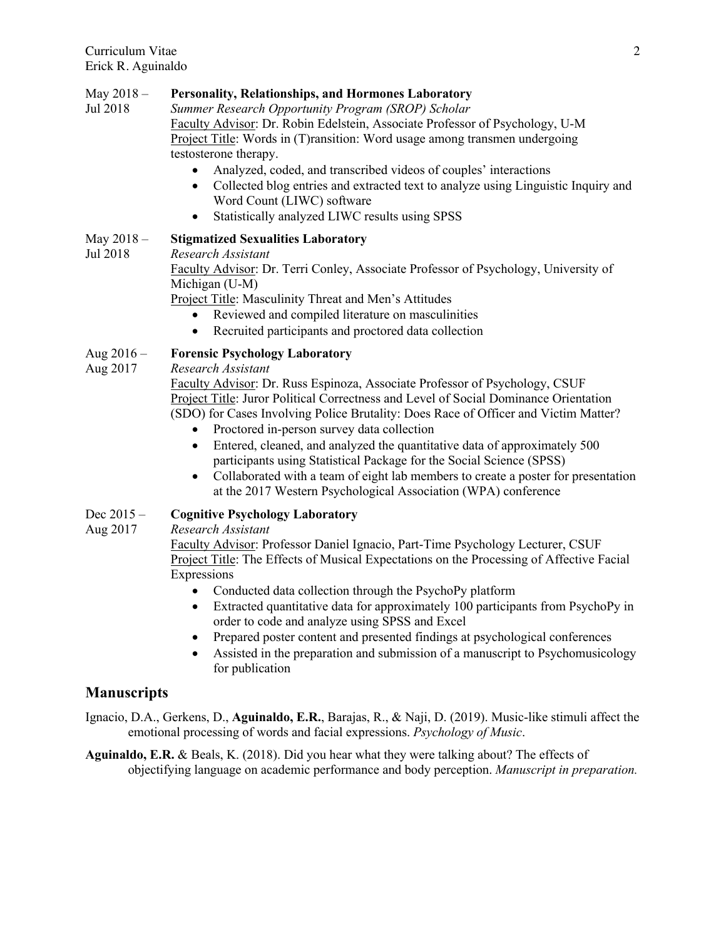## May 2018 – **Personality, Relationships, and Hormones Laboratory**

- Jul 2018 *Summer Research Opportunity Program (SROP) Scholar* Faculty Advisor: Dr. Robin Edelstein, Associate Professor of Psychology, U-M Project Title: Words in (T)ransition: Word usage among transmen undergoing testosterone therapy.
	- Analyzed, coded, and transcribed videos of couples' interactions
	- Collected blog entries and extracted text to analyze using Linguistic Inquiry and Word Count (LIWC) software
	- Statistically analyzed LIWC results using SPSS

# May 2018 – **Stigmatized Sexualities Laboratory**

Jul 2018 *Research Assistant*

Faculty Advisor: Dr. Terri Conley, Associate Professor of Psychology, University of Michigan (U-M)

Project Title: Masculinity Threat and Men's Attitudes

- Reviewed and compiled literature on masculinities
- Recruited participants and proctored data collection

# Aug 2016 – **Forensic Psychology Laboratory**

Aug 2017 *Research Assistant*

Faculty Advisor: Dr. Russ Espinoza, Associate Professor of Psychology, CSUF Project Title: Juror Political Correctness and Level of Social Dominance Orientation (SDO) for Cases Involving Police Brutality: Does Race of Officer and Victim Matter?

- Proctored in-person survey data collection
- Entered, cleaned, and analyzed the quantitative data of approximately 500 participants using Statistical Package for the Social Science (SPSS)
- Collaborated with a team of eight lab members to create a poster for presentation at the 2017 Western Psychological Association (WPA) conference

# Dec 2015 – **Cognitive Psychology Laboratory**

Aug 2017 *Research Assistant*

Faculty Advisor: Professor Daniel Ignacio, Part-Time Psychology Lecturer, CSUF Project Title: The Effects of Musical Expectations on the Processing of Affective Facial Expressions

- Conducted data collection through the PsychoPy platform
- Extracted quantitative data for approximately 100 participants from PsychoPy in order to code and analyze using SPSS and Excel
- Prepared poster content and presented findings at psychological conferences
- Assisted in the preparation and submission of a manuscript to Psychomusicology for publication

# **Manuscripts**

Ignacio, D.A., Gerkens, D., **Aguinaldo, E.R.**, Barajas, R., & Naji, D. (2019). Music-like stimuli affect the emotional processing of words and facial expressions. *Psychology of Music*.

**Aguinaldo, E.R.** & Beals, K. (2018). Did you hear what they were talking about? The effects of objectifying language on academic performance and body perception. *Manuscript in preparation.*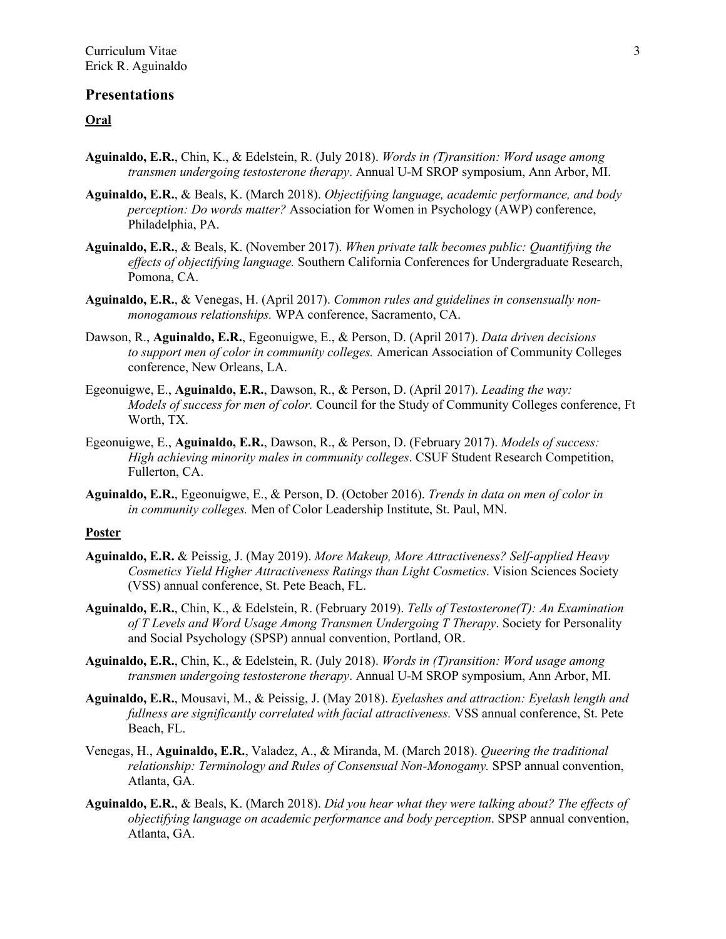## **Presentations**

## **Oral**

- **Aguinaldo, E.R.**, Chin, K., & Edelstein, R. (July 2018). *Words in (T)ransition: Word usage among transmen undergoing testosterone therapy*. Annual U-M SROP symposium, Ann Arbor, MI.
- **Aguinaldo, E.R.**, & Beals, K. (March 2018). *Objectifying language, academic performance, and body perception: Do words matter?* Association for Women in Psychology (AWP) conference, Philadelphia, PA.
- **Aguinaldo, E.R.**, & Beals, K. (November 2017). *When private talk becomes public: Quantifying the effects of objectifying language.* Southern California Conferences for Undergraduate Research, Pomona, CA.
- **Aguinaldo, E.R.**, & Venegas, H. (April 2017). *Common rules and guidelines in consensually nonmonogamous relationships.* WPA conference, Sacramento, CA.
- Dawson, R., **Aguinaldo, E.R.**, Egeonuigwe, E., & Person, D. (April 2017). *Data driven decisions to support men of color in community colleges.* American Association of Community Colleges conference, New Orleans, LA.
- Egeonuigwe, E., **Aguinaldo, E.R.**, Dawson, R., & Person, D. (April 2017). *Leading the way: Models of success for men of color.* Council for the Study of Community Colleges conference, Ft Worth, TX.
- Egeonuigwe, E., **Aguinaldo, E.R.**, Dawson, R., & Person, D. (February 2017). *Models of success: High achieving minority males in community colleges*. CSUF Student Research Competition, Fullerton, CA.
- **Aguinaldo, E.R.**, Egeonuigwe, E., & Person, D. (October 2016). *Trends in data on men of color in in community colleges.* Men of Color Leadership Institute, St. Paul, MN.

### **Poster**

- **Aguinaldo, E.R.** & Peissig, J. (May 2019). *More Makeup, More Attractiveness? Self-applied Heavy Cosmetics Yield Higher Attractiveness Ratings than Light Cosmetics*. Vision Sciences Society (VSS) annual conference, St. Pete Beach, FL.
- **Aguinaldo, E.R.**, Chin, K., & Edelstein, R. (February 2019). *Tells of Testosterone(T): An Examination of T Levels and Word Usage Among Transmen Undergoing T Therapy*. Society for Personality and Social Psychology (SPSP) annual convention, Portland, OR.
- **Aguinaldo, E.R.**, Chin, K., & Edelstein, R. (July 2018). *Words in (T)ransition: Word usage among transmen undergoing testosterone therapy*. Annual U-M SROP symposium, Ann Arbor, MI.
- **Aguinaldo, E.R.**, Mousavi, M., & Peissig, J. (May 2018). *Eyelashes and attraction: Eyelash length and fullness are significantly correlated with facial attractiveness.* VSS annual conference, St. Pete Beach, FL.
- Venegas, H., **Aguinaldo, E.R.**, Valadez, A., & Miranda, M. (March 2018). *Queering the traditional relationship: Terminology and Rules of Consensual Non-Monogamy.* SPSP annual convention, Atlanta, GA.
- **Aguinaldo, E.R.**, & Beals, K. (March 2018). *Did you hear what they were talking about? The effects of objectifying language on academic performance and body perception*. SPSP annual convention, Atlanta, GA.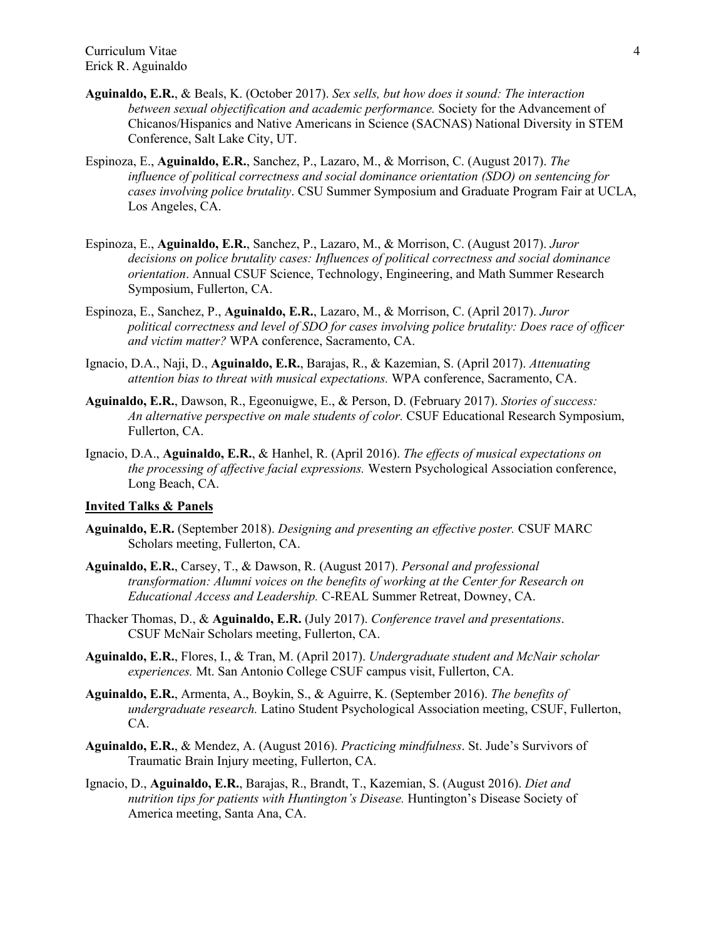- **Aguinaldo, E.R.**, & Beals, K. (October 2017). *Sex sells, but how does it sound: The interaction between sexual objectification and academic performance.* Society for the Advancement of Chicanos/Hispanics and Native Americans in Science (SACNAS) National Diversity in STEM Conference, Salt Lake City, UT.
- Espinoza, E., **Aguinaldo, E.R.**, Sanchez, P., Lazaro, M., & Morrison, C. (August 2017). *The influence of political correctness and social dominance orientation (SDO) on sentencing for cases involving police brutality*. CSU Summer Symposium and Graduate Program Fair at UCLA, Los Angeles, CA.
- Espinoza, E., **Aguinaldo, E.R.**, Sanchez, P., Lazaro, M., & Morrison, C. (August 2017). *Juror decisions on police brutality cases: Influences of political correctness and social dominance orientation*. Annual CSUF Science, Technology, Engineering, and Math Summer Research Symposium, Fullerton, CA.
- Espinoza, E., Sanchez, P., **Aguinaldo, E.R.**, Lazaro, M., & Morrison, C. (April 2017). *Juror political correctness and level of SDO for cases involving police brutality: Does race of officer and victim matter?* WPA conference, Sacramento, CA.
- Ignacio, D.A., Naji, D., **Aguinaldo, E.R.**, Barajas, R., & Kazemian, S. (April 2017). *Attenuating attention bias to threat with musical expectations.* WPA conference, Sacramento, CA.
- **Aguinaldo, E.R.**, Dawson, R., Egeonuigwe, E., & Person, D. (February 2017). *Stories of success: An alternative perspective on male students of color.* CSUF Educational Research Symposium, Fullerton, CA.
- Ignacio, D.A., **Aguinaldo, E.R.**, & Hanhel, R. (April 2016). *The effects of musical expectations on the processing of affective facial expressions.* Western Psychological Association conference, Long Beach, CA.

#### **Invited Talks & Panels**

- **Aguinaldo, E.R.** (September 2018). *Designing and presenting an effective poster.* CSUF MARC Scholars meeting, Fullerton, CA.
- **Aguinaldo, E.R.**, Carsey, T., & Dawson, R. (August 2017). *Personal and professional transformation: Alumni voices on the benefits of working at the Center for Research on Educational Access and Leadership.* C-REAL Summer Retreat, Downey, CA.
- Thacker Thomas, D., & **Aguinaldo, E.R.** (July 2017). *Conference travel and presentations*. CSUF McNair Scholars meeting, Fullerton, CA.
- **Aguinaldo, E.R.**, Flores, I., & Tran, M. (April 2017). *Undergraduate student and McNair scholar experiences.* Mt. San Antonio College CSUF campus visit, Fullerton, CA.
- **Aguinaldo, E.R.**, Armenta, A., Boykin, S., & Aguirre, K. (September 2016). *The benefits of undergraduate research.* Latino Student Psychological Association meeting, CSUF, Fullerton, CA.
- **Aguinaldo, E.R.**, & Mendez, A. (August 2016). *Practicing mindfulness*. St. Jude's Survivors of Traumatic Brain Injury meeting, Fullerton, CA.
- Ignacio, D., **Aguinaldo, E.R.**, Barajas, R., Brandt, T., Kazemian, S. (August 2016). *Diet and nutrition tips for patients with Huntington's Disease.* Huntington's Disease Society of America meeting, Santa Ana, CA.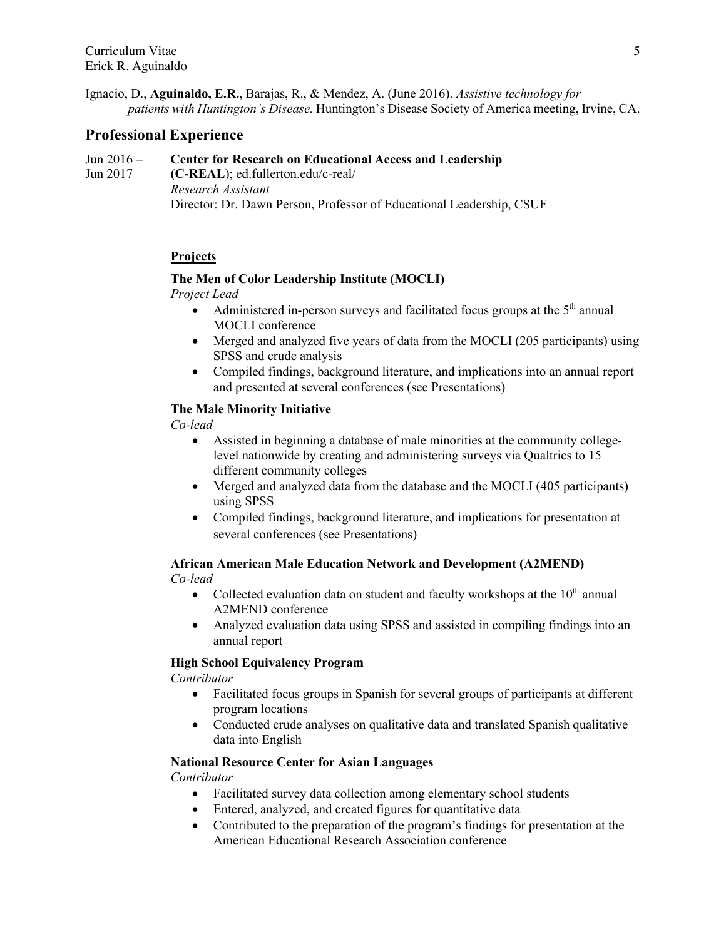Ignacio, D., **Aguinaldo, E.R.**, Barajas, R., & Mendez, A. (June 2016). *Assistive technology for patients with Huntington's Disease.* Huntington's Disease Society of America meeting, Irvine, CA.

# **Professional Experience**

#### Jun 2016 – **Center for Research on Educational Access and Leadership**

Jun 2017 **(C-REAL**); ed.fullerton.edu/c-real/ *Research Assistant*  Director: Dr. Dawn Person, Professor of Educational Leadership, CSUF

## **Projects**

### **The Men of Color Leadership Institute (MOCLI)**

*Project Lead*

- Administered in-person surveys and facilitated focus groups at the  $5<sup>th</sup>$  annual MOCLI conference
- Merged and analyzed five years of data from the MOCLI (205 participants) using SPSS and crude analysis
- Compiled findings, background literature, and implications into an annual report and presented at several conferences (see Presentations)

### **The Male Minority Initiative**

*Co-lead* 

- Assisted in beginning a database of male minorities at the community collegelevel nationwide by creating and administering surveys via Qualtrics to 15 different community colleges
- Merged and analyzed data from the database and the MOCLI (405 participants) using SPSS
- Compiled findings, background literature, and implications for presentation at several conferences (see Presentations)

### **African American Male Education Network and Development (A2MEND)** *Co-lead*

- Collected evaluation data on student and faculty workshops at the  $10<sup>th</sup>$  annual A2MEND conference
- Analyzed evaluation data using SPSS and assisted in compiling findings into an annual report

## **High School Equivalency Program**

*Contributor*

- Facilitated focus groups in Spanish for several groups of participants at different program locations
- Conducted crude analyses on qualitative data and translated Spanish qualitative data into English

# **National Resource Center for Asian Languages**

*Contributor*

- Facilitated survey data collection among elementary school students
- Entered, analyzed, and created figures for quantitative data
- Contributed to the preparation of the program's findings for presentation at the American Educational Research Association conference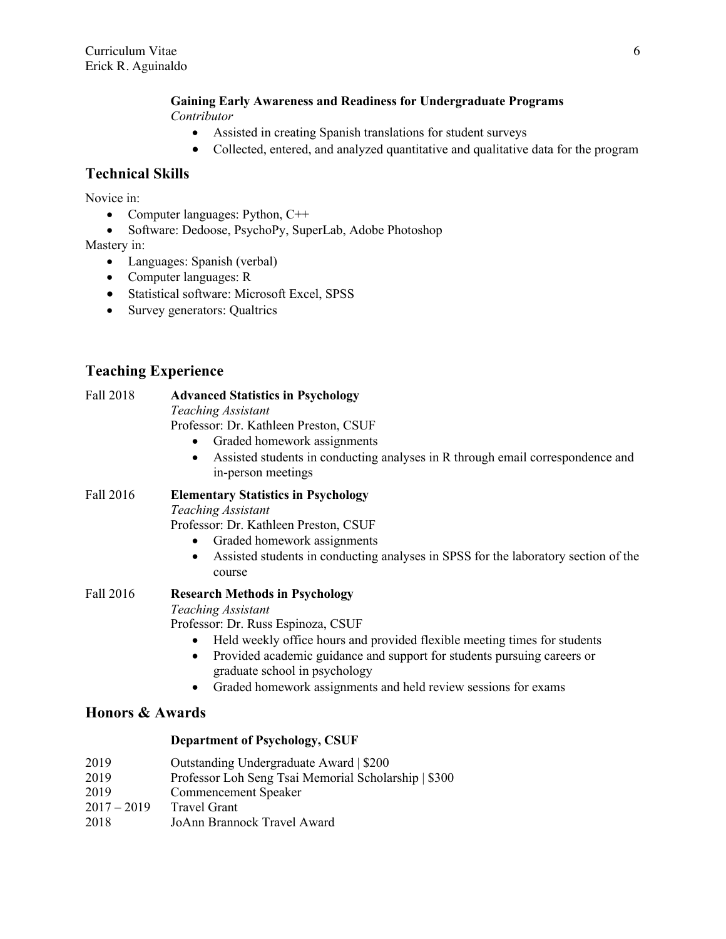# **Gaining Early Awareness and Readiness for Undergraduate Programs**

- *Contributor*
	- Assisted in creating Spanish translations for student surveys
	- Collected, entered, and analyzed quantitative and qualitative data for the program

# **Technical Skills**

Novice in:

- Computer languages: Python, C++
- Software: Dedoose, PsychoPy, SuperLab, Adobe Photoshop

Mastery in:

- Languages: Spanish (verbal)
- Computer languages: R
- Statistical software: Microsoft Excel, SPSS
- Survey generators: Qualtrics

# **Teaching Experience**

# Fall 2018 **Advanced Statistics in Psychology**

*Teaching Assistant*

Professor: Dr. Kathleen Preston, CSUF

- Graded homework assignments
- Assisted students in conducting analyses in R through email correspondence and in-person meetings

#### Fall 2016 **Elementary Statistics in Psychology** *Teaching Assistant*

Professor: Dr. Kathleen Preston, CSUF

- Graded homework assignments
- Assisted students in conducting analyses in SPSS for the laboratory section of the course

# Fall 2016 **Research Methods in Psychology**

*Teaching Assistant*

Professor: Dr. Russ Espinoza, CSUF

- Held weekly office hours and provided flexible meeting times for students
- Provided academic guidance and support for students pursuing careers or graduate school in psychology
- Graded homework assignments and held review sessions for exams

# **Honors & Awards**

## **Department of Psychology, CSUF**

| 2019 | Outstanding Undergraduate Award   \$200 |  |
|------|-----------------------------------------|--|
|      |                                         |  |

- 2019 Professor Loh Seng Tsai Memorial Scholarship | \$300
- 2019 Commencement Speaker
- 2017 2019 Travel Grant
- 2018 JoAnn Brannock Travel Award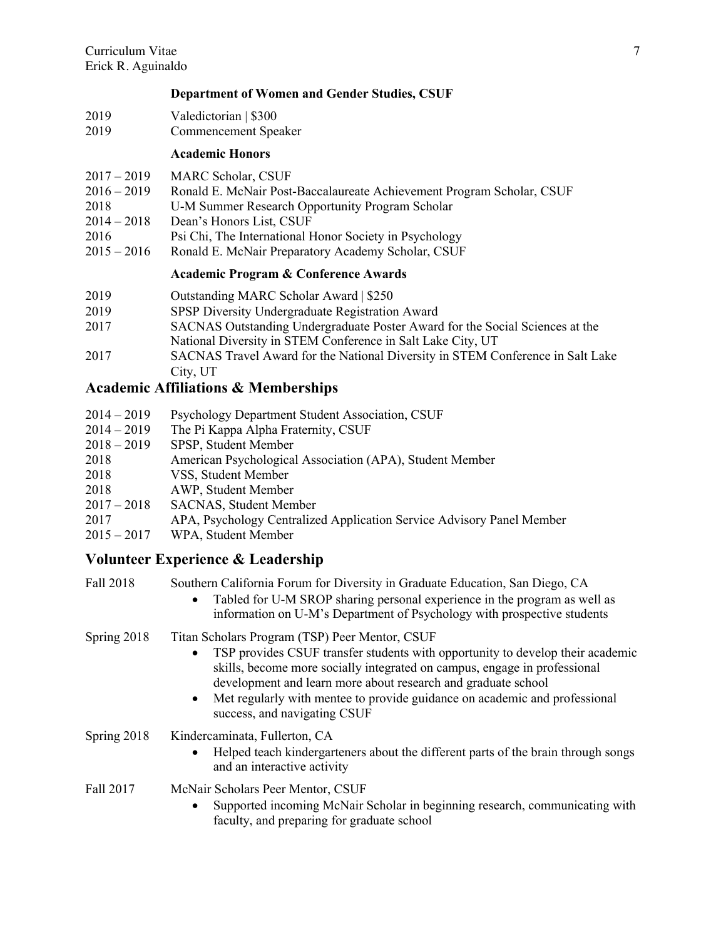## **Department of Women and Gender Studies, CSUF**

- 2019 Valedictorian | \$300
- 2019 Commencement Speaker

### **Academic Honors**

- 2017 2019 MARC Scholar, CSUF
- 2016 2019 Ronald E. McNair Post-Baccalaureate Achievement Program Scholar, CSUF
- 2018 U-M Summer Research Opportunity Program Scholar
- 2014 2018 Dean's Honors List, CSUF
- 2016 Psi Chi, The International Honor Society in Psychology
- 2015 2016 Ronald E. McNair Preparatory Academy Scholar, CSUF

# **Academic Program & Conference Awards**

| 2019 | Outstanding MARC Scholar Award   \$250 |
|------|----------------------------------------|
|------|----------------------------------------|

- 2019 SPSP Diversity Undergraduate Registration Award
- 2017 SACNAS Outstanding Undergraduate Poster Award for the Social Sciences at the National Diversity in STEM Conference in Salt Lake City, UT
- 2017 SACNAS Travel Award for the National Diversity in STEM Conference in Salt Lake City, UT

# **Academic Affiliations & Memberships**

| $2014 - 2019$ | Psychology Department Student Association, CSUF                       |
|---------------|-----------------------------------------------------------------------|
| $2014 - 2019$ | The Pi Kappa Alpha Fraternity, CSUF                                   |
| $2018 - 2019$ | SPSP, Student Member                                                  |
| 2018          | American Psychological Association (APA), Student Member              |
| 2018          | VSS, Student Member                                                   |
| 2018          | AWP, Student Member                                                   |
| $2017 - 2018$ | <b>SACNAS, Student Member</b>                                         |
| 2017          | APA, Psychology Centralized Application Service Advisory Panel Member |
| $2015 - 2017$ | WPA, Student Member                                                   |

# **Volunteer Experience & Leadership**

| Fall 2018     | Southern California Forum for Diversity in Graduate Education, San Diego, CA<br>Tabled for U-M SROP sharing personal experience in the program as well as<br>$\bullet$<br>information on U-M's Department of Psychology with prospective students                                                                                                                                                                      |
|---------------|------------------------------------------------------------------------------------------------------------------------------------------------------------------------------------------------------------------------------------------------------------------------------------------------------------------------------------------------------------------------------------------------------------------------|
| Spring $2018$ | Titan Scholars Program (TSP) Peer Mentor, CSUF<br>TSP provides CSUF transfer students with opportunity to develop their academic<br>$\bullet$<br>skills, become more socially integrated on campus, engage in professional<br>development and learn more about research and graduate school<br>Met regularly with mentee to provide guidance on academic and professional<br>$\bullet$<br>success, and navigating CSUF |
| Spring $2018$ | Kindercaminata, Fullerton, CA<br>Helped teach kindergarteners about the different parts of the brain through songs<br>and an interactive activity                                                                                                                                                                                                                                                                      |
| Fall 2017     | McNair Scholars Peer Mentor, CSUF<br>Supported incoming McNair Scholar in beginning research, communicating with<br>faculty, and preparing for graduate school                                                                                                                                                                                                                                                         |